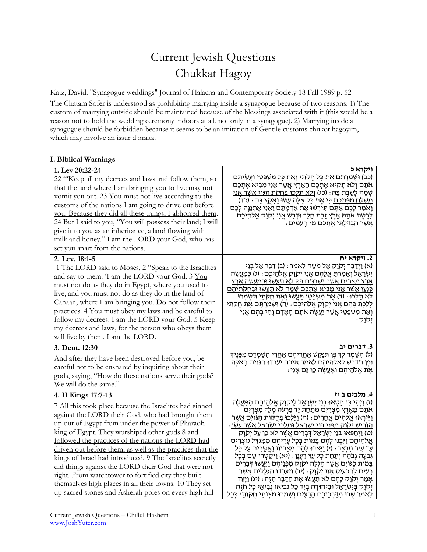# Current Jewish Questions Chukkat Hagoy

Katz, David. "Synagogue weddings" Journal of Halacha and Contemporary Society 18 Fall 1989 p. 52 The Chatam Sofer is understood as prohibiting marrying inside a synagogue because of two reasons: 1) The custom of marrying outside should be maintained because of the blessings associated with it (this would be a reason not to hold the wedding ceremony indoors at all, not only in a synagogue). 2) Marrying inside a synagogue should be forbidden because it seems to be an imitation of Gentile customs chukot hagoyim, which may involve an issur d'oraita.

# **I. Biblical Warnings**

| 1. Lev 20:22-24<br>22 "Keep all my decrees and laws and follow them, so<br>that the land where I am bringing you to live may not<br>vomit you out. 23 You must not live according to the<br>customs of the nations I am going to drive out before<br>you. Because they did all these things, I abhorred them.<br>24 But I said to you, "You will possess their land; I will<br>give it to you as an inheritance, a land flowing with<br>milk and honey." I am the LORD your God, who has<br>set you apart from the nations.                                                                                                                              | ויקרא כ<br>(כב) וּשְׁמַרְתֶּם אֶת כָּל חֻקִּתַי וְאֶת כָּל מִשְׁפָּטַי וַעֲשִׂיתֶם<br>אתָם וְלֹא תָקִיא אֶתִכֶם הָאָרֶץ אֲשֶׁר אֲנִי מֵבִיא אֶתִכֶם<br>שָׁמָּה לְשֶׁבֶת בָּהּ: (כג) <u>ולא תַלְכוּ בְּחָקֶת הַגּוֹי אֲשֶׁר אֲנִי</u><br><u>משׁלַח מפּניכם</u> כִּי אֶת כָּל אֵלֶה עָשׂוּ וָאָקָץ בָּם : (כד)<br>וָאמַר לָכֶם אַתֶּם תִּירְשׁוּ אֶת אַדְמָתָם וַאֲנִי אֶתִּנֶנָּה לָכֶם<br>לְרֶשֶׁת אֹתָהּ אֶרֶץ זָבַת חָלָב וּדְבָשׁ אֲנִי יְקוָק אֱלֹהֵיכֶם<br>ּאֲשֶׁר הִבְדַּלְתִּי אֱתִכֶם מְן הַעֲמִים ּ                                                                                                                                                                                                                                                                                                                                                                                                                                                                                                                            |
|----------------------------------------------------------------------------------------------------------------------------------------------------------------------------------------------------------------------------------------------------------------------------------------------------------------------------------------------------------------------------------------------------------------------------------------------------------------------------------------------------------------------------------------------------------------------------------------------------------------------------------------------------------|-----------------------------------------------------------------------------------------------------------------------------------------------------------------------------------------------------------------------------------------------------------------------------------------------------------------------------------------------------------------------------------------------------------------------------------------------------------------------------------------------------------------------------------------------------------------------------------------------------------------------------------------------------------------------------------------------------------------------------------------------------------------------------------------------------------------------------------------------------------------------------------------------------------------------------------------------------------------------------------------------------------------------------------------|
| 2. Lev. 18:1-5<br>1 The LORD said to Moses, 2 "Speak to the Israelites<br>and say to them: 'I am the LORD your God. 3 You<br>must not do as they do in Egypt, where you used to<br>live, and you must not do as they do in the land of<br>Canaan, where I am bringing you. Do not follow their<br>practices. 4 You must obey my laws and be careful to<br>follow my decrees. I am the LORD your God. 5 Keep<br>my decrees and laws, for the person who obeys them<br>will live by them. I am the LORD.                                                                                                                                                   | 2. ויקרא יח<br>(א) וַיְדַבֵּר יִקְוָק אֱל מֹשֶׁה לֵאמֹר ּ (ב) דַּבֵּר אֱל בְּנֵי<br>יִשְׂרָאֵל וְאָמַרְתָּ אֲלֵהֶם אֲנִי יִקְוָק אֱלֹהֵיכֶם : (ג) <u>כְּמַעֲשֶׂה</u><br><u>ארץ מצרים אשר ישבתם בה לא תעשו וכמעשה ארץ</u><br><u>כַּנַעַן אַשֶׁר אֲנִי מֶבִיא אֶתְכֶם שַׁמַּה לֹא תַעֲשׂוּ וּבְחִקְּתֵיהֶם</u><br><u>לא תַלֵכוּ</u> : (ד) אֶת מִשְׁפָּטַי תַּעֲשׂוּ וְאֶת חִקְתַי תִּשְׁמִרוּ<br>לָלֶכֶת בָּהֶם אֲנִי יִקְוָק אֱלֹהֵיכֶם : (ה) וּשִׁמַרְתֶּם אֶת חֻקֹּתַי<br>וְאֶת מִשְׁפָּטַי אֲשֶׁר יַעֲשֶׂה אֹתָם הָאָדָם וָחַי בָּהֶם אֲנִי<br>יִקוַק                                                                                                                                                                                                                                                                                                                                                                                                                                                                                 |
| 3. Deut. 12:30<br>And after they have been destroyed before you, be<br>careful not to be ensnared by inquiring about their<br>gods, saying, "How do these nations serve their gods?<br>We will do the same."                                                                                                                                                                                                                                                                                                                                                                                                                                             | 3. דברים יב<br>(ל) הִשָּׁמֶר לִךְ כֵּן תִּנָּקֵשׁ אַחֲרֵיהֶם אַחֲרֵי הִשָּׁמִדָּם מִפָּנֵיךָ<br>וּפֵן תִּדְרֹשׁ לֵאלהֵיהֵם לֵאמֹר אֵיכָה יַעַבְדוּ הַגּוֹיִם הָאֵלֶה<br>ּאֵת אֱלֹהֶיהֶם וְאֱעֱשֶׂה כֵּן גַּם אָנִי                                                                                                                                                                                                                                                                                                                                                                                                                                                                                                                                                                                                                                                                                                                                                                                                                      |
| 4. II Kings 17:7-13<br>7 All this took place because the Israelites had sinned<br>against the LORD their God, who had brought them<br>up out of Egypt from under the power of Pharaoh<br>king of Egypt. They worshiped other gods 8 and<br>followed the practices of the nations the LORD had<br>driven out before them, as well as the practices that the<br>kings of Israel had introduced. 9 The Israelites secretly<br>did things against the LORD their God that were not<br>right. From watchtower to fortified city they built<br>themselves high places in all their towns. 10 They set<br>up sacred stones and Asherah poles on every high hill | 4. מלכים ב יז<br>(ז) וַיִּהִי כִּי חָטְאוּ בְּנֵי יִשְׂרָאֵל לַיִּקְוָק אֱלֹהֵיהֶם הַמַּעֲלֶה<br>אתָם מֵאֶרֶץ מִצְרַיִם מִתַּחַת יַד פַּרְעֹה מֶלֶךְ מִצְרָיִם<br>וַיִּירְאוּ אֵלהִים אֲחֵרִים ּ (ח) <u>וַיַּלְכוּ בְּחִקּוֹת הַגּוֹיִם אֲשֶׁר</u><br><u>הוריש יקוק מפּנֵי בָּנֵי יִשְׂרָאֱל וּמַלְכֵי יְשָׂרָאֱל אֲשֶׁר עֲשׂוּ</u> :<br>(ט) וַיְחַפְּאוּ בְנֵי יִשְׂרָאֵל דְּבָרִים אֲשֶׁר לֹא כֵן עַל יִקְוָק<br>אֱלהֵיהֶם וַיִּבְנוּ לָהֶם בָּמוֹת בִּכָל עָרֵיהֶם מִמְּגְדַּל נוֹצְרִים<br>עַד עִיר מְבָצָר : (י) וַיַּצְבוּ לָהֶם מַצֵּבוֹת וַאֲשֶׁרִים עַל כָּל<br>גִּבְעָה גִבֹּהָה וְתַחַת כָּל עֵץ רַעֲנָן : (יא) וַיִּקַטְרוּ שָׁם בִּכָל<br>בָּמוֹת כַּגּוֹיִם אֲשֶׁר הֶגְלָה יְקוָק מִפְּנֵיהֶם וַיַּעֲשׂוּ דְּבָרִים<br>רַעִים לְהַכְעִיס אֵת יִקְוַק : (יב) וַיַּעֲבְדוּ הַגְּלֵלִים אֲשֵׁר<br>אָמַר יִקְוָק לָהֶם לֹא תַעֲשׂוּ אֶת הַדָּבָר הַזֶּה : (יג) וַיַּעֲד<br>יִקוָק בִּיִשְׂרָאֵל וּבִיהוּדָה בִּיַד כָּל נביאו נִבִיאֵי כָל חזֶה<br>לֵאמֹר שִׁבוּ מִדַּרְכֵיכֶם הַרַעִים וְשָׁמְרוּ מִצְוֹתַי חִקּוֹתֵי כִּכַל |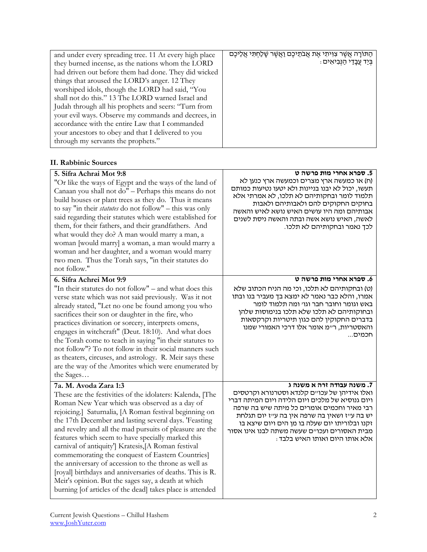| and under every spreading tree. 11 At every high place | הַתּוֹרָה אֲשֶׁר צִוִּיתִי אֶת אֲבֹתֵיכֶם וַאֲשֶׁר שָׁלַחְתִּי אֲלֵיכֶם |
|--------------------------------------------------------|-------------------------------------------------------------------------|
| they burned incense, as the nations whom the LORD      | ּבִּיַד עֲבָדַי הַנְּבִיאִים :                                          |
| had driven out before them had done. They did wicked   |                                                                         |
| things that aroused the LORD's anger. 12 They          |                                                                         |
| worshiped idols, though the LORD had said, "You        |                                                                         |
| shall not do this." 13 The LORD warned Israel and      |                                                                         |
| Judah through all his prophets and seers: "Turn from   |                                                                         |
| your evil ways. Observe my commands and decrees, in    |                                                                         |
| accordance with the entire Law that I commanded        |                                                                         |
| your ancestors to obey and that I delivered to you     |                                                                         |
| through my servants the prophets."                     |                                                                         |

#### **II. Rabbinic Sources**

| 5. Sifra Achrai Mot 9:8<br>"Or like the ways of Egypt and the ways of the land of<br>Canaan you shall not do" - Perhaps this means do not<br>build houses or plant trees as they do. Thus it means<br>to say "in their <i>statutes</i> do not follow" – this was only<br>said regarding their statutes which were established for<br>them, for their fathers, and their grandfathers. And<br>what would they do? A man would marry a man, a<br>woman [would marry] a woman, a man would marry a<br>woman and her daughter, and a woman would marry<br>two men. Thus the Torah says, "in their statutes do<br>not follow."                                                                                                   | 5. ספרא אחרי מות פרשה ט<br>(ח) או כמעשה ארץ מצרים וכמעשה ארץ כנען לא<br>תעשו, יכול לא יבנו בניינות ולא יטעו נטיעות כמותם<br>תלמוד לומר ובחקותיהם לא תלכו, לא אמרתי אלא<br>בחוקים החקוקים להם ולאבותיהם ולאבות<br>אבותיהם ומה היו עושים האיש נושא לאיש והאשה<br>לאשה, האיש נושא אשה ובתה והאשה ניסת לשנים<br>לכך נאמר ובחקותיהם לא תלכו.                          |
|-----------------------------------------------------------------------------------------------------------------------------------------------------------------------------------------------------------------------------------------------------------------------------------------------------------------------------------------------------------------------------------------------------------------------------------------------------------------------------------------------------------------------------------------------------------------------------------------------------------------------------------------------------------------------------------------------------------------------------|------------------------------------------------------------------------------------------------------------------------------------------------------------------------------------------------------------------------------------------------------------------------------------------------------------------------------------------------------------------|
| 6. Sifra Achrei Mot 9:9                                                                                                                                                                                                                                                                                                                                                                                                                                                                                                                                                                                                                                                                                                     | 6. ספרא אחרי מות פרשה ט                                                                                                                                                                                                                                                                                                                                          |
| "In their statutes do not follow" – and what does this<br>verse state which was not said previously. Was it not<br>already stated, "Let no one be found among you who<br>sacrifices their son or daughter in the fire, who<br>practices divination or sorcery, interprets omens,<br>engages in witchcraft" (Deut. 18:10). And what does<br>the Torah come to teach in saying "in their statutes to<br>not follow"? To not follow in their social manners such<br>as theaters, circuses, and astrology. R. Meir says these<br>are the way of the Amorites which were enumerated by<br>the Sages                                                                                                                              | (ט) ובחקותיהם לא תלכו, וכי מה הניח הכתוב שלא<br>אמרו, והלא כבר נאמר לא ימצא בך מעביר בנו ובתו<br>באש וגומר וחובר חבר וגו׳ ומה תלמוד לומר<br>ובחוקותיהם לא תלכו שלא תלכו בנימוסות שלהן<br>בדברים החקוקין להם כגון תיטריות וקרקסאות<br>והאסטריות, ר״מ אומר אלו דרכי האמורי שמנו<br>חכמים                                                                           |
| 7a. M. Avoda Zara 1:3<br>These are the festivities of the idolaters: Kalenda, [The<br>Roman New Year which was observed as a day of<br>rejoicing.] Saturnalia, [A Roman festival beginning on<br>the 17th December and lasting several days. 'Feasting<br>and revelry and all the mad pursuits of pleasure are the<br>features which seem to have specially marked this<br>carnival of antiquity'] Kratesis,[A Roman festival<br>commemorating the conquest of Eastern Countries]<br>the anniversary of accession to the throne as well as<br>[royal] birthdays and anniversaries of deaths. This is R.<br>Meir's opinion. But the sages say, a death at which<br>burning [of articles of the dead] takes place is attended | 7. משנה עבודה זרה א משנה ג<br>ואלו אידיהן של עכו״ם קלנדא וסטרנורא וקרטסים<br>ויום גנוסיא של מלכים ויום הלידה ויום המיתה דברי<br>רבי מאיר וחכמים אומרים כל מיתה שיש בה שרפה<br>יש בה עייז ושאין בה שרפה אין בה עייז יום תגלחת<br>זקנו ובלוריתו יום שעלה בו מן הים ויום שיצא בו<br>מבית האסורים ועכו״ם שעשה משתה לבנו אינו אסור<br>: אלא אותו היום ואותו האיש בלבד |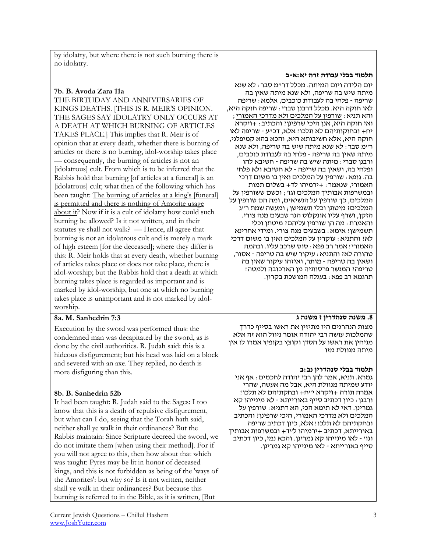by idolatry, but where there is not such burning there is no idolatry.

# **7b. B. Avoda Zara 11a**

THE BIRTHDAY AND ANNIVERSARIES OF KINGS DEATHS. [THIS IS R. MEIR'S OPINION. THE SAGES SAY IDOLATRY ONLY OCCURS AT A DEATH AT WHICH BURNING OF ARTICLES TAKES PLACE.] This implies that R. Meir is of opinion that at every death, whether there is burning of articles or there is no burning, idol-worship takes place — consequently, the burning of articles is not an [idolatrous] cult. From which is to be inferred that the Rabbis hold that burning [of articles at a funeral] is an [idolatrous] cult; what then of the following which has been taught: The burning of articles at a king's [funeral] is permitted and there is nothing of Amorite usage about it? Now if it is a cult of idolatry how could such burning be allowed? Is it not written, and in their statutes ye shall not walk? — Hence, all agree that burning is not an idolatrous cult and is merely a mark of high esteem [for the deceased]; where they differ is this: R. Meir holds that at every death, whether burning of articles takes place or does not take place, there is idol-worship; but the Rabbis hold that a death at which burning takes place is regarded as important and is marked by idol-worship, but one at which no burning takes place is unimportant and is not marked by idolworship.

# **8a. M. Sanhedrin 7:3**

Execution by the sword was performed thus: the condemned man was decapitated by the sword, as is done by the civil authorities. R. Judah said: this is a hideous disfigurement; but his head was laid on a block and severed with an axe. They replied, no death is more disfiguring than this.

## **8b. B. Sanhedrin 52b**

It had been taught: R. Judah said to the Sages: I too know that this is a death of repulsive disfigurement, but what can I do, seeing that the Torah hath said, neither shall ye walk in their ordinances? But the Rabbis maintain: Since Scripture decreed the sword, we do not imitate them [when using their method]. For if you will not agree to this, then how about that which was taught: Pyres may be lit in honor of deceased kings, and this is not forbidden as being of the 'ways of the Amorites': but why so? Is it not written, neither shall ye walk in their ordinances? But because this burning is referred to in the Bible, as it is written, [But

#### **תלמוד בבלי עבודה זרה יא:א-ב**

יום הלידה ויום המיתה. מכלל דר"מ סבר: לא שנא מיתה שיש בה שריפה, ולא שנא מיתה שאין בה שריפה - פלחי בה לעבודת כוכבים, אלמא: שריפה לאו חוקה היא. מכלל דרבנן סברי: שריפה חוקה היא, והא תניא: שורפין על המלכים ולא מדרכי האמורי; ואי חוקה היא, אנן היכי שרפינן? והכתיב: +ויקרא יח+ ובחוקותיהם לא תלכו! אלא, דכ"ע - שריפה לאו חוקה היא, אלא חשיבותא היא, והכא בהא קמיפלגי, ר"מ סבר: לא שנא מיתה שיש בה שריפה, ולא שנא מיתה שאין בה שריפה - פלחי בה לעבודת כוכבים, ורבנן סברי: מיתה שיש בה שריפה - חשיבא להו ופלחי בה, ושאין בה שריפה - לא חשיבא ולא פלחי בה. גופא: שורפין על המלכים ואין בו משום דרכי האמורי, שנאמר: +ירמיהו לד+ בשלום תמות ובמשרפות אבותיך המלכים וגו'; וכשם ששורפין על המלכים, כך שורפין על הנשיאים, ומה הם שורפין על המלכים? מיטתן וכלי תשמישן; ומעשה שמת ר"ג הזקן, ושרף עליו אונקלוס הגר שבעים מנה צורי. והאמרת: מה הן שורפין עליהם? מיטתן וכלי תשמישן! אימא: בשבעים מנה צורי. ומידי אחרינא לא? והתניא: עוקרין על המלכים ואין בו משום דרכי האמורי! אמר רב פפא: סוס שרכב עליו. ובהמה טהורה לא? והתניא: עיקור שיש בה טריפה - אסור, ושאין בה טריפה - מותר, ואיזהו עיקור שאין בה טריפה? המנשר פרסותיה מן הארכובה ולמטה! תרגמא רב פפא: בעגלה המושכת בקרון.

## **.8 משנה סנהדרין ז משנה ג**

מצות הנהרגים היו מתיזין את ראשו בסייף כדרך שהמלכות עושה רבי יהודה אומר ניוול הוא זה אלא מניחין את ראשו על הסדן וקוצץ בקופיץ אמרו לו אין מיתה מנוולת מזו

#### **תלמוד בבלי סנהדרין נב:ב**

גמרא. תניא, אמר להן רבי יהודה לחכמים: אף אני יודע שמיתה מנוולת היא, אבל מה אעשה, שהרי אמרה תורה +ויקרא י"ח+ ובחקתיהם לא תלכו! ורבנן: כיון דכתיב סייף באורייתא - לא מינייהו קא גמרינן. דאי לא תימא הכי, הא דתניא: שורפין על המלכים ולא מדרכי האמורי, היכי שרפינן? והכתיב ובחקתיהם לא תלכו! אלא, כיון דכתיב שריפה באורייתא, דכתיב +ירמיהו ל"ד+ ובמשרפות אבותיך וגו' - לאו מינייהו קא גמרינן. והכא נמי, כיון דכתיב סייף באורייתא - לאו מינייהו קא גמרינן.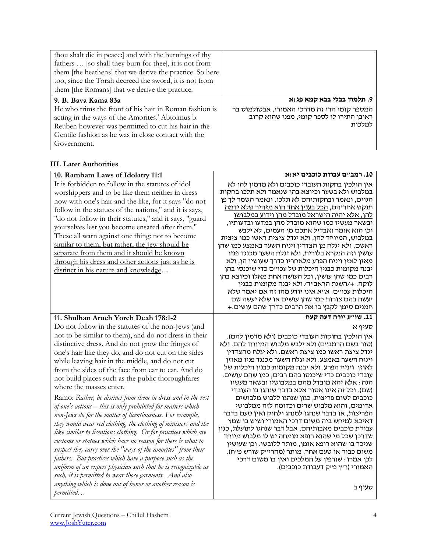| thou shalt die in peace: and with the burnings of thy<br>fathers  [so shall they burn for thee], it is not from<br>them [the heathens] that we derive the practice. So here<br>too, since the Torah decreed the sword, it is not from<br>them [the Romans] that we derive the practice. |                                                                                                   |
|-----------------------------------------------------------------------------------------------------------------------------------------------------------------------------------------------------------------------------------------------------------------------------------------|---------------------------------------------------------------------------------------------------|
| 9. B. Baya Kama 83a                                                                                                                                                                                                                                                                     | 9. תלמוד בבלי בבא קמא פג:א                                                                        |
| He who trims the front of his hair in Roman fashion is<br>acting in the ways of the Amorites.' Abtolmus b.<br>Reuben however was permitted to cut his hair in the<br>Gentile fashion as he was in close contact with the<br>Government.                                                 | המספר קומי הרי זה מדרכי האמורי, אבטולמוס בר<br>ראובן התירו לו לספר קומי, מפני שהוא קרוב<br>למלכות |

#### **III. Later Authorities**

| 10. Rambam Laws of Idolatry 11:1                                                                                                                                                                                                                                                                                                                                                                                                                                                                                                                                                                                                                                                                                                                                                                                                                                                                                                                                                                                                                                                     | 10. רמב"ם עבודת כוכבים יא:א                                                                                                                                                                                                                                                                                                                                                                                                                                                                                                                                                                                                                                                                                                                                                                                                                                                                                                         |
|--------------------------------------------------------------------------------------------------------------------------------------------------------------------------------------------------------------------------------------------------------------------------------------------------------------------------------------------------------------------------------------------------------------------------------------------------------------------------------------------------------------------------------------------------------------------------------------------------------------------------------------------------------------------------------------------------------------------------------------------------------------------------------------------------------------------------------------------------------------------------------------------------------------------------------------------------------------------------------------------------------------------------------------------------------------------------------------|-------------------------------------------------------------------------------------------------------------------------------------------------------------------------------------------------------------------------------------------------------------------------------------------------------------------------------------------------------------------------------------------------------------------------------------------------------------------------------------------------------------------------------------------------------------------------------------------------------------------------------------------------------------------------------------------------------------------------------------------------------------------------------------------------------------------------------------------------------------------------------------------------------------------------------------|
| It is forbidden to follow in the statutes of idol<br>worshippers and to be like them neither in dress<br>now with one's hair and the like, for it says "do not<br>follow in the statues of the nations," and it is says,<br>"do not follow in their statutes," and it says, "guard<br>yourselves lest you become ensared after them."<br>These all warn against one thing: not to become<br>similar to them, but rather, the Jew should be<br>separate from them and it should be known<br>through his dress and other actions just as he is<br>distinct in his nature and knowledge                                                                                                                                                                                                                                                                                                                                                                                                                                                                                                 | אין הולכין בחקות העובדי כוכבים ולא מדמין להן לא<br>במלבוש ולא בשער וכיוצא בהן שנאמר ולא תלכו בחקות<br>הגוים, ונאמר ובחקותיהם לא תלכו, ונאמר השמר לך פן<br>תנקש אחריהם, <u>הכל בענין אחד הוא מזהיר שלא ידמה</u><br><u>להן, אלא יהיה הישראל מובדל מהן וידוע במלבושו</u><br><u>ובשאר מעשיו כמו שהוא מובדל מהן במדעו ובדעותיו,</u><br>וכן הוא אומר ואבדיל אתכם מן העמים, לא ילבש<br>במלבוש, המיוחד להן, ולא יגדל ציצית ראשו כמו ציצית<br>ראשם, ולא יגלח מן הצדדין ויניח השער באמצע כמו שהן<br>עושין וזה הנקרא בלורית, ולא יגלח השער מכנגד פניו<br>מאזן לאזן ויניח הפרע מלאחריו כדרך שעושין הן, ולא<br>יבנה מקומות כבנין היכלות של עכו״ם כדי שיכנסו בהן<br>רבים כמו שהן עושין, וכל העושה אחת מאלו וכיוצא בהן<br>לוקה. +/השגת הראבייד/ ולא יבנה מקומות כבנין<br>היכלות עכויים. אייא איני יודע מהו זה אם יאמר שלא<br>יעשה בהם צורות כמו שהן עושים או שלא יעשה שם<br>חמנים סימן לקבץ בו את הרבים כדרך שהם עושים.+                           |
| 11. Shulhan Aruch Yoreh Deah 178:1-2<br>Do not follow in the statutes of the non-Jews (and                                                                                                                                                                                                                                                                                                                                                                                                                                                                                                                                                                                                                                                                                                                                                                                                                                                                                                                                                                                           | 11. שו״ע יורה דעה קעח                                                                                                                                                                                                                                                                                                                                                                                                                                                                                                                                                                                                                                                                                                                                                                                                                                                                                                               |
| not to be similar to them), and do not dress in their<br>distinctive dress. And do not grow the fringes of<br>one's hair like they do, and do not cut on the sides<br>while leaving hair in the middle, and do not cut<br>from the sides of the face from ear to ear. And do<br>not build places such as the public thoroughfares<br>where the masses enter.<br>Ramo: Rather, be distinct from them in dress and in the rest<br>of one's actions - this is only prohibited for matters which<br>non-Jews do for the matter of licentiousness. For example,<br>they would wear red clothing, the clothing of ministers and the<br>like similar to licentious clothing. Or for practices which are<br>customs or statues which have no reason for there is what to<br>suspect they carry over the "ways of the amorites" from their<br>fathers. But practices which have a purpose such as the<br>uniform of an expert physician such that he is recognizable as<br>such, it is permitted to wear those garments. And also<br>anything which is done out of honor or another reason is | סעיף א<br>אין הולכין בחוקות העובדי כוכבים (ולא מדמין להם).<br>(טור בשם הרמב״ם) ולא ילבש מלבוש המיוחד להם. ולא<br>יגדל ציצת ראשו כמו ציצת ראשם. ולא יגלח מהצדדין<br>ויניח השער באמצע. ולא יגלח השער מכנגד פניו מאוזן<br>לאוזן ויניח הפרע. ולא יבנה מקומות כבנין היכלות של<br>עובדי כוכבים כדי שיכנסו בהם רבים, כמו שהם עושים.<br>הגה : אלא יהא מובדל מהם במלבושיו ובשאר מעשיו<br>(שם). וכל זה אינו אסור אלא בדבר שנהגו בו העובדי<br>כוכבים לשום פריצות, כגון שנהגו ללבוש מלבושים<br>אדומים, והוא מלבוש שרים וכדומה לזה ממלבושי<br>הפריצות, או בדבר שנהגו למנהג ולחוק ואין טעם בדבר<br>דאיכא למיחש ביה משום דרכי האמורי ושיש בו שמץ<br>עבודת כוכבים מאבותיהם, אבל דבר שנהגו לתועלת, כגון<br>שדרכן שכל מי שהוא רופא מומחה יש לו מלבוש מיוחד<br>שניכר בו שהוא רופא אומן, מותר ללובשו. וכן שעושין<br>משום כבוד או טעם אחר, מותר (מהריייק שורש פייח).<br>לכן אמרו : שורפין על המלכים ואין בו משום דרכי<br>האמורי (ר״ן פ״ק דעבודת כוכבים). |
| permitted                                                                                                                                                                                                                                                                                                                                                                                                                                                                                                                                                                                                                                                                                                                                                                                                                                                                                                                                                                                                                                                                            | סעיף ב                                                                                                                                                                                                                                                                                                                                                                                                                                                                                                                                                                                                                                                                                                                                                                                                                                                                                                                              |